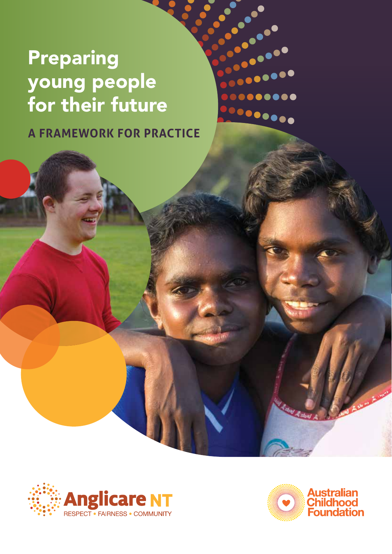# Preparing young people for their future

**A FRAMEWORK FOR PRACTICE**

 $\frac{1}{2}$ 

 $\bullet\bullet\bullet\bullet\bullet$ 

......

 $\bullet\bullet\bullet\bullet\bullet\bullet$ 



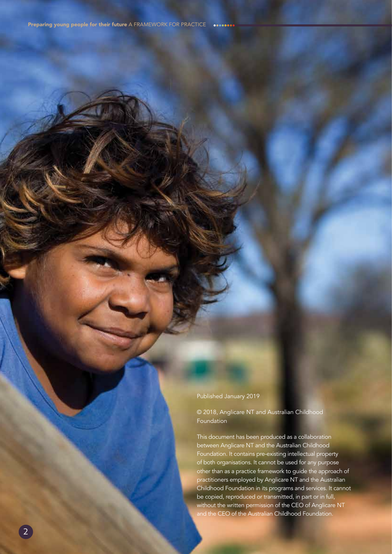Published January 2019

© 2018, Anglicare NT and Australian Childhood Foundation

This document has been produced as a collaboration between Anglicare NT and the Australian Childhood Foundation. It contains pre-existing intellectual property of both organisations. It cannot be used for any purpose other than as a practice framework to guide the approach of practitioners employed by Anglicare NT and the Australian Childhood Foundation in its programs and services. It cannot be copied, reproduced or transmitted, in part or in full, without the written permission of the CEO of Anglicare NT and the CEO of the Australian Childhood Foundation.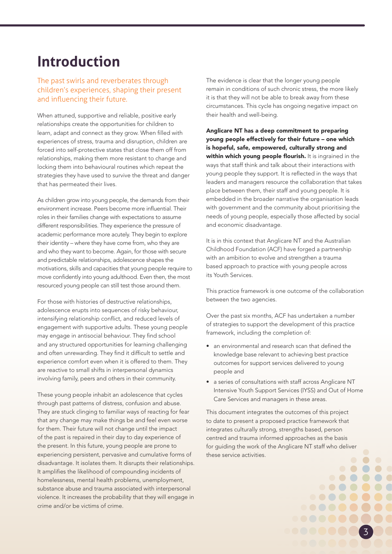## **Introduction**

#### The past swirls and reverberates through children's experiences, shaping their present and influencing their future.

When attuned, supportive and reliable, positive early relationships create the opportunities for children to learn, adapt and connect as they grow. When filled with experiences of stress, trauma and disruption, children are forced into self-protective states that close them off from relationships, making them more resistant to change and locking them into behavioural routines which repeat the strategies they have used to survive the threat and danger that has permeated their lives.

As children grow into young people, the demands from their environment increase. Peers become more influential. Their roles in their families change with expectations to assume different responsibilities. They experience the pressure of academic performance more acutely. They begin to explore their identity – where they have come from, who they are and who they want to become. Again, for those with secure and predictable relationships, adolescence shapes the motivations, skills and capacities that young people require to move confidently into young adulthood. Even then, the most resourced young people can still test those around them.

For those with histories of destructive relationships, adolescence erupts into sequences of risky behaviour, intensifying relationship conflict, and reduced levels of engagement with supportive adults. These young people may engage in antisocial behaviour. They find school and any structured opportunities for learning challenging and often unrewarding. They find it difficult to settle and experience comfort even when it is offered to them. They are reactive to small shifts in interpersonal dynamics involving family, peers and others in their community.

These young people inhabit an adolescence that cycles through past patterns of distress, confusion and abuse. They are stuck clinging to familiar ways of reacting for fear that any change may make things be and feel even worse for them. Their future will not change until the impact of the past is repaired in their day to day experience of the present. In this future, young people are prone to experiencing persistent, pervasive and cumulative forms of disadvantage. It isolates them. It disrupts their relationships. It amplifies the likelihood of compounding incidents of homelessness, mental health problems, unemployment, substance abuse and trauma associated with interpersonal violence. It increases the probability that they will engage in crime and/or be victims of crime.

The evidence is clear that the longer young people remain in conditions of such chronic stress, the more likely it is that they will not be able to break away from these circumstances. This cycle has ongoing negative impact on their health and well-being.

Anglicare NT has a deep commitment to preparing young people effectively for their future – one which is hopeful, safe, empowered, culturally strong and within which young people flourish. It is ingrained in the ways that staff think and talk about their interactions with young people they support. It is reflected in the ways that leaders and managers resource the collaboration that takes place between them, their staff and young people. It is embedded in the broader narrative the organisation leads with government and the community about prioritising the needs of young people, especially those affected by social and economic disadvantage.

It is in this context that Anglicare NT and the Australian Childhood Foundation (ACF) have forged a partnership with an ambition to evolve and strengthen a trauma based approach to practice with young people across its Youth Services.

This practice framework is one outcome of the collaboration between the two agencies.

Over the past six months, ACF has undertaken a number of strategies to support the development of this practice framework, including the completion of:

- an environmental and research scan that defined the knowledge base relevant to achieving best practice outcomes for support services delivered to young people and
- a series of consultations with staff across Anglicare NT Intensive Youth Support Services (IYSS) and Out of Home Care Services and managers in these areas.

This document integrates the outcomes of this project to date to present a proposed practice framework that integrates culturally strong, strengths based, person centred and trauma informed approaches as the basis for guiding the work of the Anglicare NT staff who deliver these service activities.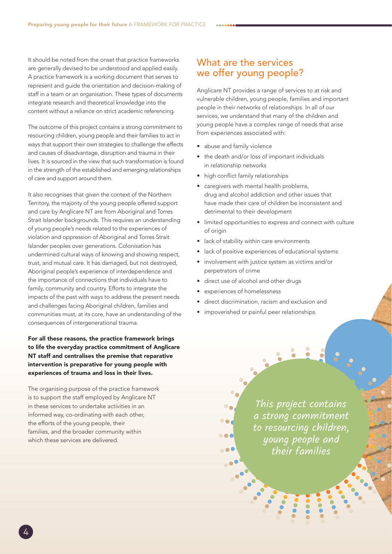It should be noted from the onset that practice frameworks are generally devised to be understood and applied easily. A practice framework is a working document that serves to represent and guide the orientation and decision-making of staff in a team or an organisation. These types of documents integrate research and theoretical knowledge into the content without a reliance on strict academic referencing.

The outcome of this project contains a strong commitment to resourcing children, young people and their families to act in ways that support their own strategies to challenge the effects and causes of disadvantage, disruption and trauma in their lives. It is sourced in the view that such transformation is found in the strength of the established and emerging relationships of care and support around them.

It also recognises that given the context of the Northern Territory, the majority of the young people offered support and care by Anglicare NT are from Aboriginal and Torres Strait Islander backgrounds. This requires an understanding of young people's needs related to the experiences of violation and oppression of Aboriginal and Torres Strait Islander peoples over generations. Colonisation has undermined cultural ways of knowing and showing respect, trust, and mutual care. It has damaged, but not destroyed, Aboriginal people's experience of interdependence and the importance of connections that individuals have to family, community and country. Efforts to integrate the impacts of the past with ways to address the present needs and challenges facing Aboriginal children, families and communities must, at its core, have an understanding of the consequences of intergenerational trauma.

For all these reasons, the practice framework brings to life the everyday practice commitment of Anglicare NT staff and centralises the premise that reparative intervention is preparative for young people with experiences of trauma and loss in their lives.

The organising purpose of the practice framework is to support the staff employed by Anglicare NT in these services to undertake activities in an informed way, co-ordinating with each other, the efforts of the young people, their families, and the broader community within which these services are delivered.

## What are the services we offer young people?

Anglicare NT provides a range of services to at risk and vulnerable children, young people, families and important people in their networks of relationships. In all of our services, we understand that many of the children and young people have a complex range of needs that arise from experiences associated with:

- abuse and family violence
- the death and/or loss of important individuals in relationship networks
- high conflict family relationships
- caregivers with mental health problems, drug and alcohol addiction and other issues that have made their care of children be inconsistent and detrimental to their development
- limited opportunities to express and connect with culture of origin
- lack of stability within care environments
- lack of positive experiences of educational systems
- involvement with justice system as victims and/or perpetrators of crime
- direct use of alcohol and other drugs
- experiences of homelessness

**DOC** 

- direct discrimination, racism and exclusion and
- impoverished or painful peer relationships.

This project contains a strong commitment to resourcing children, young people and their families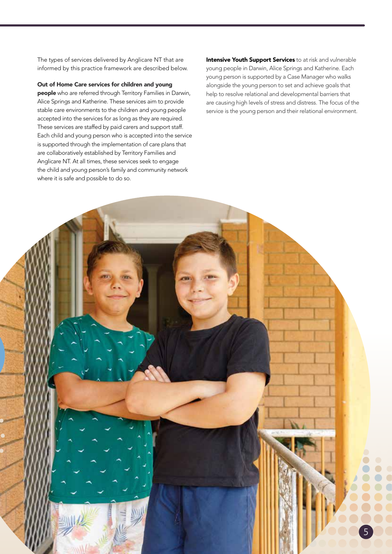The types of services delivered by Anglicare NT that are informed by this practice framework are described below.

Out of Home Care services for children and young people who are referred through Territory Families in Darwin, Alice Springs and Katherine. These services aim to provide stable care environments to the children and young people accepted into the services for as long as they are required. These services are staffed by paid carers and support staff. Each child and young person who is accepted into the service is supported through the implementation of care plans that are collaboratively established by Territory Families and Anglicare NT. At all times, these services seek to engage the child and young person's family and community network where it is safe and possible to do so.

Intensive Youth Support Services to at risk and vulnerable young people in Darwin, Alice Springs and Katherine. Each young person is supported by a Case Manager who walks alongside the young person to set and achieve goals that help to resolve relational and developmental barriers that are causing high levels of stress and distress. The focus of the service is the young person and their relational environment.

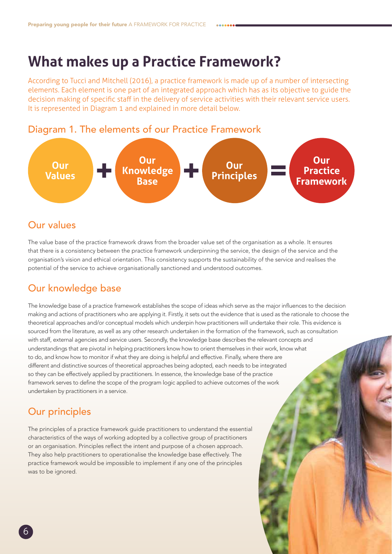## **What makes up a Practice Framework?**

According to Tucci and Mitchell (2016), a practice framework is made up of a number of intersecting elements. Each element is one part of an integrated approach which has as its objective to guide the decision making of specific staff in the delivery of service activities with their relevant service users. It is represented in Diagram 1 and explained in more detail below.





## Our values

The value base of the practice framework draws from the broader value set of the organisation as a whole. It ensures that there is a consistency between the practice framework underpinning the service, the design of the service and the organisation's vision and ethical orientation. This consistency supports the sustainability of the service and realises the potential of the service to achieve organisationally sanctioned and understood outcomes.

## Our knowledge base

The knowledge base of a practice framework establishes the scope of ideas which serve as the major influences to the decision making and actions of practitioners who are applying it. Firstly, it sets out the evidence that is used as the rationale to choose the theoretical approaches and/or conceptual models which underpin how practitioners will undertake their role. This evidence is sourced from the literature, as well as any other research undertaken in the formation of the framework, such as consultation with staff, external agencies and service users. Secondly, the knowledge base describes the relevant concepts and understandings that are pivotal in helping practitioners know how to orient themselves in their work, know what to do, and know how to monitor if what they are doing is helpful and effective. Finally, where there are different and distinctive sources of theoretical approaches being adopted, each needs to be integrated so they can be effectively applied by practitioners. In essence, the knowledge base of the practice framework serves to define the scope of the program logic applied to achieve outcomes of the work undertaken by practitioners in a service.

## Our principles

The principles of a practice framework guide practitioners to understand the essential characteristics of the ways of working adopted by a collective group of practitioners or an organisation. Principles reflect the intent and purpose of a chosen approach. They also help practitioners to operationalise the knowledge base effectively. The practice framework would be impossible to implement if any one of the principles was to be ignored.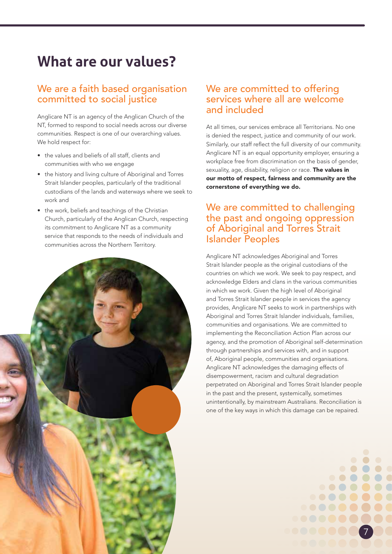## **What are our values?**

### We are a faith based organisation committed to social justice

Anglicare NT is an agency of the Anglican Church of the NT, formed to respond to social needs across our diverse communities. Respect is one of our overarching values. We hold respect for:

- the values and beliefs of all staff, clients and communities with who we engage
- the history and living culture of Aboriginal and Torres Strait Islander peoples, particularly of the traditional custodians of the lands and waterways where we seek to work and
- the work, beliefs and teachings of the Christian Church, particularly of the Anglican Church, respecting its commitment to Anglicare NT as a community service that responds to the needs of individuals and communities across the Northern Territory.



### We are committed to offering services where all are welcome and included

At all times, our services embrace all Territorians. No one is denied the respect, justice and community of our work. Similarly, our staff reflect the full diversity of our community. Anglicare NT is an equal opportunity employer, ensuring a workplace free from discrimination on the basis of gender, sexuality, age, disability, religion or race. The values in our motto of respect, fairness and community are the cornerstone of everything we do.

## We are committed to challenging the past and ongoing oppression of Aboriginal and Torres Strait Islander Peoples

Anglicare NT acknowledges Aboriginal and Torres Strait Islander people as the original custodians of the countries on which we work. We seek to pay respect, and acknowledge Elders and clans in the various communities in which we work. Given the high level of Aboriginal and Torres Strait Islander people in services the agency provides, Anglicare NT seeks to work in partnerships with Aboriginal and Torres Strait Islander individuals, families, communities and organisations. We are committed to implementing the Reconciliation Action Plan across our agency, and the promotion of Aboriginal self-determination through partnerships and services with, and in support of, Aboriginal people, communities and organisations. Anglicare NT acknowledges the damaging effects of disempowerment, racism and cultural degradation perpetrated on Aboriginal and Torres Strait Islander people in the past and the present, systemically, sometimes unintentionally, by mainstream Australians. Reconciliation is one of the key ways in which this damage can be repaired.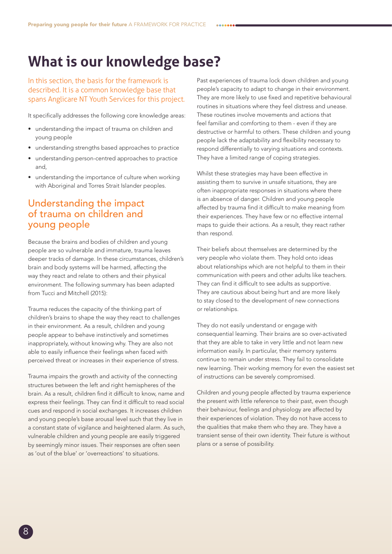## **What is our knowledge base?**

In this section, the basis for the framework is described. It is a common knowledge base that spans Anglicare NT Youth Services for this project.

It specifically addresses the following core knowledge areas:

- understanding the impact of trauma on children and young people
- understanding strengths based approaches to practice
- understanding person-centred approaches to practice and,
- understanding the importance of culture when working with Aboriginal and Torres Strait Islander peoples.

## Understanding the impact of trauma on children and young people

Because the brains and bodies of children and young people are so vulnerable and immature, trauma leaves deeper tracks of damage. In these circumstances, children's brain and body systems will be harmed, affecting the way they react and relate to others and their physical environment. The following summary has been adapted from Tucci and Mitchell (2015):

Trauma reduces the capacity of the thinking part of children's brains to shape the way they react to challenges in their environment. As a result, children and young people appear to behave instinctively and sometimes inappropriately, without knowing why. They are also not able to easily influence their feelings when faced with perceived threat or increases in their experience of stress.

Trauma impairs the growth and activity of the connecting structures between the left and right hemispheres of the brain. As a result, children find it difficult to know, name and express their feelings. They can find it difficult to read social cues and respond in social exchanges. It increases children and young people's base arousal level such that they live in a constant state of vigilance and heightened alarm. As such, vulnerable children and young people are easily triggered by seemingly minor issues. Their responses are often seen as 'out of the blue' or 'overreactions' to situations.

Past experiences of trauma lock down children and young people's capacity to adapt to change in their environment. They are more likely to use fixed and repetitive behavioural routines in situations where they feel distress and unease. These routines involve movements and actions that feel familiar and comforting to them - even if they are destructive or harmful to others. These children and young people lack the adaptability and flexibility necessary to respond differentially to varying situations and contexts. They have a limited range of coping strategies.

Whilst these strategies may have been effective in assisting them to survive in unsafe situations, they are often inappropriate responses in situations where there is an absence of danger. Children and young people affected by trauma find it difficult to make meaning from their experiences. They have few or no effective internal maps to guide their actions. As a result, they react rather than respond.

Their beliefs about themselves are determined by the very people who violate them. They hold onto ideas about relationships which are not helpful to them in their communication with peers and other adults like teachers. They can find it difficult to see adults as supportive. They are cautious about being hurt and are more likely to stay closed to the development of new connections or relationships.

They do not easily understand or engage with consequential learning. Their brains are so over-activated that they are able to take in very little and not learn new information easily. In particular, their memory systems continue to remain under stress. They fail to consolidate new learning. Their working memory for even the easiest set of instructions can be severely compromised.

Children and young people affected by trauma experience the present with little reference to their past, even though their behaviour, feelings and physiology are affected by their experiences of violation. They do not have access to the qualities that make them who they are. They have a transient sense of their own identity. Their future is without plans or a sense of possibility.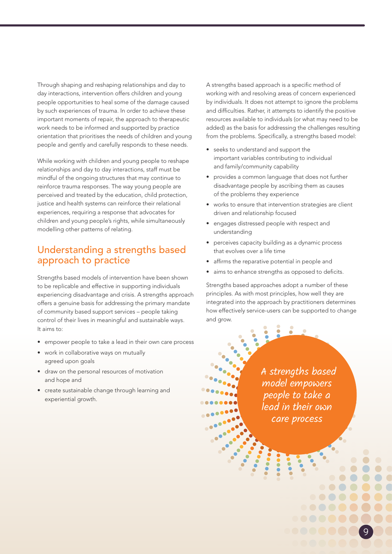Through shaping and reshaping relationships and day to day interactions, intervention offers children and young people opportunities to heal some of the damage caused by such experiences of trauma. In order to achieve these important moments of repair, the approach to therapeutic work needs to be informed and supported by practice orientation that prioritises the needs of children and young people and gently and carefully responds to these needs.

While working with children and young people to reshape relationships and day to day interactions, staff must be mindful of the ongoing structures that may continue to reinforce trauma responses. The way young people are perceived and treated by the education, child protection, justice and health systems can reinforce their relational experiences, requiring a response that advocates for children and young people's rights, while simultaneously modelling other patterns of relating.

## Understanding a strengths based approach to practice

Strengths based models of intervention have been shown to be replicable and effective in supporting individuals experiencing disadvantage and crisis. A strengths approach offers a genuine basis for addressing the primary mandate of community based support services – people taking control of their lives in meaningful and sustainable ways. It aims to:

- empower people to take a lead in their own care process
- work in collaborative ways on mutually agreed upon goals
- draw on the personal resources of motivation and hope and
- create sustainable change through learning and experiential growth.

A strengths based approach is a specific method of working with and resolving areas of concern experienced by individuals. It does not attempt to ignore the problems and difficulties. Rather, it attempts to identify the positive resources available to individuals (or what may need to be added) as the basis for addressing the challenges resulting from the problems. Specifically, a strengths based model:

- seeks to understand and support the important variables contributing to individual and family/community capability
- provides a common language that does not further disadvantage people by ascribing them as causes of the problems they experience
- works to ensure that intervention strategies are client driven and relationship focused
- engages distressed people with respect and understanding
- perceives capacity building as a dynamic process that evolves over a life time
- affirms the reparative potential in people and
- aims to enhance strengths as opposed to deficits.

Strengths based approaches adopt a number of these principles. As with most principles, how well they are integrated into the approach by practitioners determines how effectively service-users can be supported to change and grow.

> A strengths based model empowers people to take a lead in their own care process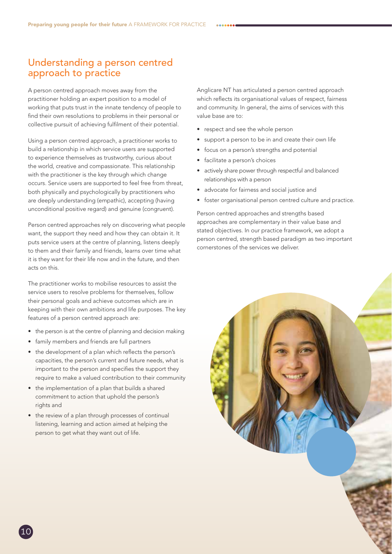## Understanding a person centred approach to practice

A person centred approach moves away from the practitioner holding an expert position to a model of working that puts trust in the innate tendency of people to find their own resolutions to problems in their personal or collective pursuit of achieving fulfilment of their potential.

Using a person centred approach, a practitioner works to build a relationship in which service users are supported to experience themselves as trustworthy, curious about the world, creative and compassionate. This relationship with the practitioner is the key through which change occurs. Service users are supported to feel free from threat, both physically and psychologically by practitioners who are deeply understanding (empathic), accepting (having unconditional positive regard) and genuine (congruent).

Person centred approaches rely on discovering what people want, the support they need and how they can obtain it. It puts service users at the centre of planning, listens deeply to them and their family and friends, learns over time what it is they want for their life now and in the future, and then acts on this.

The practitioner works to mobilise resources to assist the service users to resolve problems for themselves, follow their personal goals and achieve outcomes which are in keeping with their own ambitions and life purposes. The key features of a person centred approach are:

- the person is at the centre of planning and decision making
- family members and friends are full partners
- the development of a plan which reflects the person's capacities, the person's current and future needs, what is important to the person and specifies the support they require to make a valued contribution to their community
- the implementation of a plan that builds a shared commitment to action that uphold the person's rights and
- the review of a plan through processes of continual listening, learning and action aimed at helping the person to get what they want out of life.

Anglicare NT has articulated a person centred approach which reflects its organisational values of respect, fairness and community. In general, the aims of services with this value base are to:

- respect and see the whole person
- support a person to be in and create their own life
- focus on a person's strengths and potential
- facilitate a person's choices
- actively share power through respectful and balanced relationships with a person
- advocate for fairness and social justice and
- foster organisational person centred culture and practice.

Person centred approaches and strengths based approaches are complementary in their value base and stated objectives. In our practice framework, we adopt a person centred, strength based paradigm as two important cornerstones of the services we deliver.

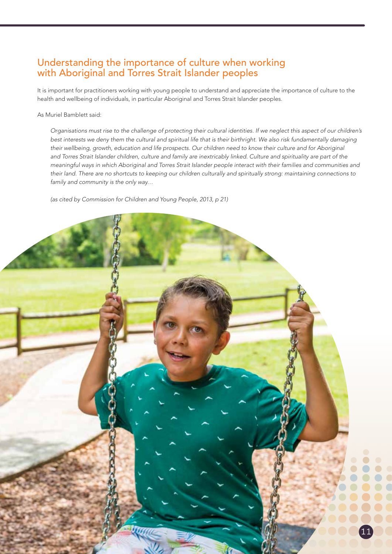## Understanding the importance of culture when working with Aboriginal and Torres Strait Islander peoples

It is important for practitioners working with young people to understand and appreciate the importance of culture to the health and wellbeing of individuals, in particular Aboriginal and Torres Strait Islander peoples.

As Muriel Bamblett said:

*Organisations must rise to the challenge of protecting their cultural identities. If we neglect this aspect of our children's best interests we deny them the cultural and spiritual life that is their birthright. We also risk fundamentally damaging*  their wellbeing, growth, education and life prospects. Our children need to know their culture and for Aboriginal *and Torres Strait Islander children, culture and family are inextricably linked. Culture and spirituality are part of the meaningful ways in which Aboriginal and Torres Strait Islander people interact with their families and communities and their land. There are no shortcuts to keeping our children culturally and spiritually strong: maintaining connections to family and community is the only way…*

*(as cited by Commission for Children and Young People, 2013, p 21)*

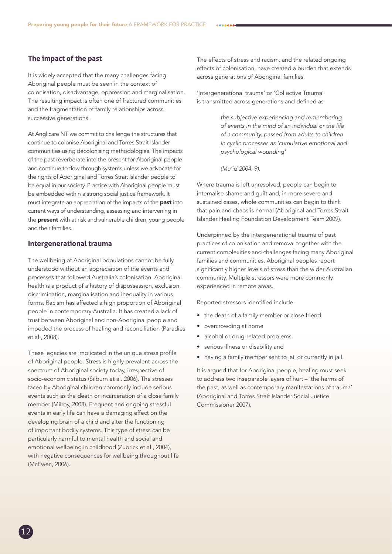#### **The impact of the past**

It is widely accepted that the many challenges facing Aboriginal people must be seen in the context of colonisation, disadvantage, oppression and marginalisation. The resulting impact is often one of fractured communities and the fragmentation of family relationships across successive generations.

At Anglicare NT we commit to challenge the structures that continue to colonise Aboriginal and Torres Strait Islander communities using decolonising methodologies. The impacts of the past reverberate into the present for Aboriginal people and continue to flow through systems unless we advocate for the rights of Aboriginal and Torres Strait Islander people to be equal in our society. Practice with Aboriginal people must be embedded within a strong social justice framework. It must integrate an appreciation of the impacts of the **past** into current ways of understanding, assessing and intervening in the **present** with at risk and vulnerable children, young people and their families.

#### **Intergenerational trauma**

The wellbeing of Aboriginal populations cannot be fully understood without an appreciation of the events and processes that followed Australia's colonisation. Aboriginal health is a product of a history of dispossession, exclusion, discrimination, marginalisation and inequality in various forms. Racism has affected a high proportion of Aboriginal people in contemporary Australia. It has created a lack of trust between Aboriginal and non-Aboriginal people and impeded the process of healing and reconciliation (Paradies et al., 2008).

These legacies are implicated in the unique stress profile of Aboriginal people. Stress is highly prevalent across the spectrum of Aboriginal society today, irrespective of socio-economic status (Silburn et al. 2006). The stresses faced by Aboriginal children commonly include serious events such as the death or incarceration of a close family member (Milroy, 2008). Frequent and ongoing stressful events in early life can have a damaging effect on the developing brain of a child and alter the functioning of important bodily systems. This type of stress can be particularly harmful to mental health and social and emotional wellbeing in childhood (Zubrick et al., 2004), with negative consequences for wellbeing throughout life (McEwen, 2006).

The effects of stress and racism, and the related ongoing effects of colonisation, have created a burden that extends across generations of Aboriginal families.

'Intergenerational trauma' or 'Collective Trauma' is transmitted across generations and defined as

> *the subjective experiencing and remembering of events in the mind of an individual or the life of a community, passed from adults to children in cyclic processes as 'cumulative emotional and psychological wounding'*

*(Mu'id 2004: 9).* 

Where trauma is left unresolved, people can begin to internalise shame and guilt and, in more severe and sustained cases, whole communities can begin to think that pain and chaos is normal (Aboriginal and Torres Strait Islander Healing Foundation Development Team 2009).

Underpinned by the intergenerational trauma of past practices of colonisation and removal together with the current complexities and challenges facing many Aboriginal families and communities, Aboriginal peoples report significantly higher levels of stress than the wider Australian community. Multiple stressors were more commonly experienced in remote areas.

Reported stressors identified include:

- the death of a family member or close friend
- overcrowding at home
- alcohol or drug-related problems
- serious illness or disability and
- having a family member sent to jail or currently in jail.

It is argued that for Aboriginal people, healing must seek to address two inseparable layers of hurt – 'the harms of the past, as well as contemporary manifestations of trauma' (Aboriginal and Torres Strait Islander Social Justice Commissioner 2007).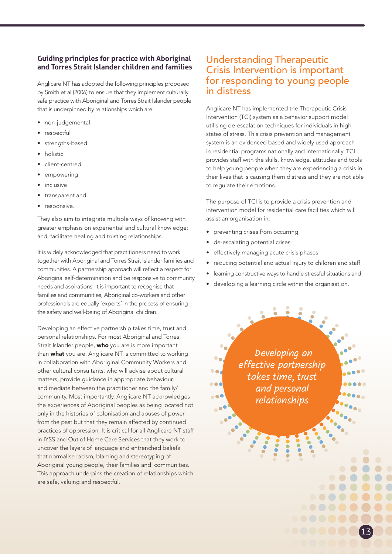#### **Guiding principles for practice with Aboriginal and Torres Strait Islander children and families**

Anglicare NT has adopted the following principles proposed by Smith et al (2006) to ensure that they implement culturally safe practice with Aboriginal and Torres Strait Islander people that is underpinned by relationships which are:

- non-judgemental
- respectful
- strengths-based
- holistic
- client-centred
- empowering
- inclusive
- transparent and
- responsive.

They also aim to integrate multiple ways of knowing with greater emphasis on experiential and cultural knowledge; and, facilitate healing and trusting relationships.

It is widely acknowledged that practitioners need to work together with Aboriginal and Torres Strait Islander families and communities. A partnership approach will reflect a respect for Aboriginal self-determination and be responsive to community needs and aspirations. It is important to recognise that families and communities, Aboriginal co-workers and other professionals are equally 'experts' in the process of ensuring the safety and well-being of Aboriginal children.

Developing an effective partnership takes time, trust and personal relationships. For most Aboriginal and Torres Strait Islander people, who you are is more important than what you are. Anglicare NT is committed to working in collaboration with Aboriginal Community Workers and other cultural consultants, who will advise about cultural matters, provide guidance in appropriate behaviour, and mediate between the practitioner and the family/ community. Most importantly, Anglicare NT acknowledges the experiences of Aboriginal peoples as being located not only in the histories of colonisation and abuses of power from the past but that they remain affected by continued practices of oppression. It is critical for all Anglicare NT staff in IYSS and Out of Home Care Services that they work to uncover the layers of language and entrenched beliefs that normalise racism, blaming and stereotyping of Aboriginal young people, their families and communities. This approach underpins the creation of relationships which are safe, valuing and respectful.

## Understanding Therapeutic Crisis Intervention is important for responding to young people in distress

Anglicare NT has implemented the Therapeutic Crisis Intervention (TCI) system as a behavior support model utilising de-escalation techniques for individuals in high states of stress. This crisis prevention and management system is an evidenced based and widely used approach in residential programs nationally and internationally. TCI provides staff with the skills, knowledge, attitudes and tools to help young people when they are experiencing a crisis in their lives that is causing them distress and they are not able to regulate their emotions.

The purpose of TCI is to provide a crisis prevention and intervention model for residential care facilities which will assist an organisation in;

- preventing crises from occurring
- de-escalating potential crises

 $\bullet$ 

- effectively managing acute crisis phases
- reducing potential and actual injury to children and staff
- learning constructive ways to handle stressful situations and
- developing a learning circle within the organisation.

 Developing an effective partnership takes time, trust and personal relationships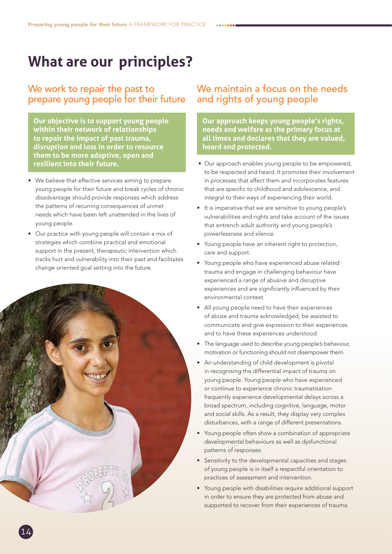## **What are our principles?**

### We work to repair the past to prepare young people for their future

**Our objective is to support young people within their network of relationships to repair the impact of past trauma, disruption and loss in order to resource them to be more adaptive, open and resilient into their future.** 

- We believe that effective services aiming to prepare young people for their future and break cycles of chronic disadvantage should provide responses which address the patterns of recurring consequences of unmet needs which have been left unattended in the lives of young people.
- Our practice with young people will contain a mix of strategies which combine practical and emotional support in the present, therapeutic intervention which tracks hurt and vulnerability into their past and facilitates change oriented goal setting into the future.



## We maintain a focus on the needs and rights of young people

**Our approach keeps young people's rights, needs and welfare as the primary focus at all times and declares that they are valued, heard and protected.** 

- Our approach enables young people to be empowered, to be respected and heard. It promotes their involvement in processes that affect them and incorporates features that are specific to childhood and adolescence, and integral to their ways of experiencing their world.
- It is imperative that we are sensitive to young people's vulnerabilities and rights and take account of the issues that entrench adult authority and young people's powerlessness and silence.
- Young people have an inherent right to protection, care and support.
- Young people who have experienced abuse related trauma and engage in challenging behaviour have experienced a range of abusive and disruptive experiences and are significantly influenced by their environmental context.
- All young people need to have their experiences of abuse and trauma acknowledged, be assisted to communicate and give expression to their experiences and to have these experiences understood.
- The language used to describe young people's behaviour, motivation or functioning should not disempower them.
- An understanding of child development is pivotal in recognising the differential impact of trauma on young people. Young people who have experienced or continue to experience chronic traumatisation frequently experience developmental delays across a broad spectrum, including cognitive, language, motor and social skills. As a result, they display very complex disturbances, with a range of different presentations.
- Young people often show a combination of appropriate developmental behaviours as well as dysfunctional patterns of responses.
- Sensitivity to the developmental capacities and stages of young people is in itself a respectful orientation to practices of assessment and intervention.
- Young people with disabilities require additional support in order to ensure they are protected from abuse and supported to recover from their experiences of trauma.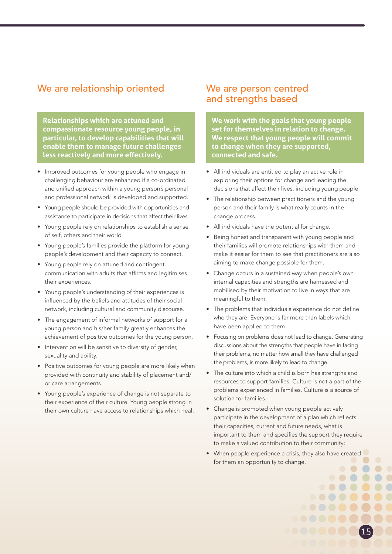## We are relationship oriented

**Relationships which are attuned and compassionate resource young people, in particular, to develop capabilities that will enable them to manage future challenges less reactively and more effectively.**

- Improved outcomes for young people who engage in challenging behaviour are enhanced if a co-ordinated and unified approach within a young person's personal and professional network is developed and supported.
- Young people should be provided with opportunities and assistance to participate in decisions that affect their lives.
- Young people rely on relationships to establish a sense of self, others and their world.
- Young people's families provide the platform for young people's development and their capacity to connect.
- Young people rely on attuned and contingent communication with adults that affirms and legitimises their experiences.
- Young people's understanding of their experiences is influenced by the beliefs and attitudes of their social network, including cultural and community discourse.
- The engagement of informal networks of support for a young person and his/her family greatly enhances the achievement of positive outcomes for the young person.
- Intervention will be sensitive to diversity of gender, sexuality and ability.
- Positive outcomes for young people are more likely when provided with continuity and stability of placement and/ or care arrangements.
- Young people's experience of change is not separate to their experience of their culture. Young people strong in their own culture have access to relationships which heal.

## We are person centred and strengths based

**We work with the goals that young people set for themselves in relation to change. We respect that young people will commit to change when they are supported, connected and safe.** 

- All individuals are entitled to play an active role in exploring their options for change and leading the decisions that affect their lives, including young people.
- The relationship between practitioners and the young person and their family is what really counts in the change process.
- All individuals have the potential for change.
- Being honest and transparent with young people and their families will promote relationships with them and make it easier for them to see that practitioners are also aiming to make change possible for them.
- Change occurs in a sustained way when people's own internal capacities and strengths are harnessed and mobilised by their motivation to live in ways that are meaningful to them.
- The problems that individuals experience do not define who they are. Everyone is far more than labels which have been applied to them.
- Focusing on problems does not lead to change. Generating discussions about the strengths that people have in facing their problems, no matter how small they have challenged the problems, is more likely to lead to change.
- The culture into which a child is born has strengths and resources to support families. Culture is not a part of the problems experienced in families. Culture is a source of solution for families.
- Change is promoted when young people actively participate in the development of a plan which reflects their capacities, current and future needs, what is important to them and specifies the support they require to make a valued contribution to their community;
- When people experience a crisis, they also have created for them an opportunity to change.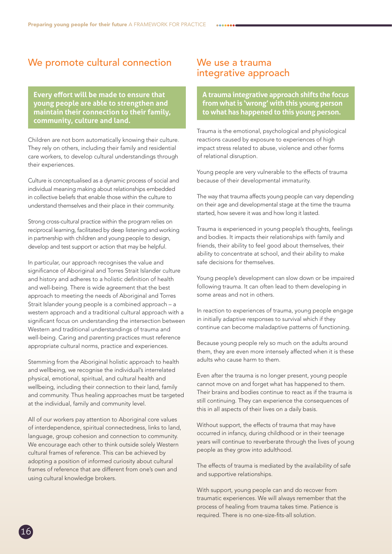## We promote cultural connection

**Every effort will be made to ensure that young people are able to strengthen and maintain their connection to their family, community, culture and land.**

Children are not born automatically knowing their culture. They rely on others, including their family and residential care workers, to develop cultural understandings through their experiences.

Culture is conceptualised as a dynamic process of social and individual meaning making about relationships embedded in collective beliefs that enable those within the culture to understand themselves and their place in their community.

Strong cross-cultural practice within the program relies on reciprocal learning, facilitated by deep listening and working in partnership with children and young people to design, develop and test support or action that may be helpful.

In particular, our approach recognises the value and significance of Aboriginal and Torres Strait Islander culture and history and adheres to a holistic definition of health and well-being. There is wide agreement that the best approach to meeting the needs of Aboriginal and Torres Strait Islander young people is a combined approach – a western approach and a traditional cultural approach with a significant focus on understanding the intersection between Western and traditional understandings of trauma and well-being. Caring and parenting practices must reference appropriate cultural norms, practice and experiences.

Stemming from the Aboriginal holistic approach to health and wellbeing, we recognise the individual's interrelated physical, emotional, spiritual, and cultural health and wellbeing, including their connection to their land, family and community. Thus healing approaches must be targeted at the individual, family and community level.

All of our workers pay attention to Aboriginal core values of interdependence, spiritual connectedness, links to land, language, group cohesion and connection to community. We encourage each other to think outside solely Western cultural frames of reference. This can be achieved by adopting a position of informed curiosity about cultural frames of reference that are different from one's own and using cultural knowledge brokers.

### We use a trauma integrative approach

**A trauma integrative approach shifts the focus from what is 'wrong' with this young person to what has happened to this young person.**

Trauma is the emotional, psychological and physiological reactions caused by exposure to experiences of high impact stress related to abuse, violence and other forms of relational disruption.

Young people are very vulnerable to the effects of trauma because of their developmental immaturity.

The way that trauma affects young people can vary depending on their age and developmental stage at the time the trauma started, how severe it was and how long it lasted.

Trauma is experienced in young people's thoughts, feelings and bodies. It impacts their relationships with family and friends, their ability to feel good about themselves, their ability to concentrate at school, and their ability to make safe decisions for themselves.

Young people's development can slow down or be impaired following trauma. It can often lead to them developing in some areas and not in others.

In reaction to experiences of trauma, young people engage in initially adaptive responses to survival which if they continue can become maladaptive patterns of functioning.

Because young people rely so much on the adults around them, they are even more intensely affected when it is these adults who cause harm to them.

Even after the trauma is no longer present, young people cannot move on and forget what has happened to them. Their brains and bodies continue to react as if the trauma is still continuing. They can experience the consequences of this in all aspects of their lives on a daily basis.

Without support, the effects of trauma that may have occurred in infancy, during childhood or in their teenage years will continue to reverberate through the lives of young people as they grow into adulthood.

The effects of trauma is mediated by the availability of safe and supportive relationships.

With support, young people can and do recover from traumatic experiences. We will always remember that the process of healing from trauma takes time. Patience is required. There is no one-size-fits-all solution.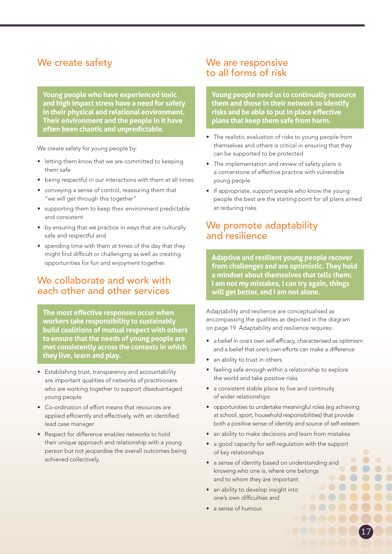## We create safety

**Young people who have experienced toxic and high impact stress have a need for safety in their physical and relational environment. Their environment and the people in it have often been chaotic and unpredictable.**

We create safety for young people by:

- letting them know that we are committed to keeping them safe
- being respectful in our interactions with them at all times
- conveying a sense of control, reassuring them that "we will get through this together"
- supporting them to keep their environment predictable and consistent
- by ensuring that we practice in ways that are culturally safe and respectful and
- spending time with them at times of the day that they might find difficult or challenging as well as creating opportunities for fun and enjoyment together.

## We collaborate and work with each other and other services

**The most effective responses occur when workers take responsibility to sustainably build coalitions of mutual respect with others to ensure that the needs of young people are met consistently across the contexts in which they live, learn and play.** 

- Establishing trust, transparency and accountability are important qualities of networks of practitioners who are working together to support disadvantaged young people
- Co-ordination of effort means that resources are applied efficiently and effectively, with an identified lead case manager
- Respect for difference enables networks to hold their unique approach and relationship with a young person but not jeopardise the overall outcomes being achieved collectively.

## We are responsive to all forms of risk

**Young people need us to continually resource them and those in their network to identify risks and be able to put in place effective plans that keep them safe from harm.** 

- The realistic evaluation of risks to young people from themselves and others is critical in ensuring that they can be supported to be protected
- The implementation and review of safety plans is a cornerstone of effective practice with vulnerable young people
- If appropriate, support people who know the young people the best are the starting point for all plans aimed at reducing risks.

## We promote adaptability and resilience

**Adaptive and resilient young people recover from challenges and are optimistic. They hold a mindset about themselves that tells them: I am not my mistakes, I can try again, things will get better, and I am not alone.**

Adaptability and resilience are conceptualised as encompassing the qualities as depicted in the diagram on page 19. Adaptability and resilience requires:

- a belief in one's own self-efficacy, characterised as optimism and a belief that one's own efforts can make a difference
- an ability to trust in others
- feeling safe enough within a relationship to explore the world and take positive risks
- a consistent stable place to live and continuity of wider relationships
- opportunities to undertake meaningful roles (eg achieving at school, sport, household responsibilities) that provide both a positive sense of identity and source of self-esteem
- an ability to make decisions and learn from mistakes
- a good capacity for self-regulation with the support of key relationships
- a sense of identity based on understanding and knowing who one is, where one belongs and to whom they are important

- an ability to develop insight into one's own difficulties and
- a sense of humour.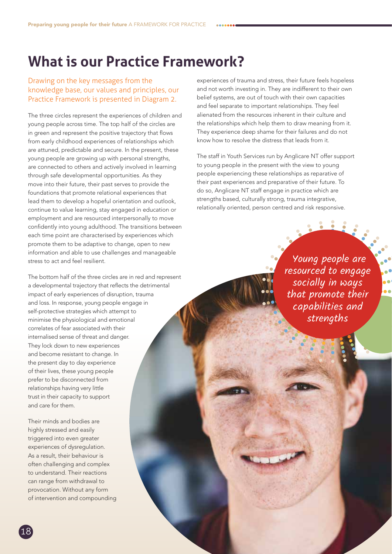## **What is our Practice Framework?**

#### Drawing on the key messages from the knowledge base, our values and principles, our Practice Framework is presented in Diagram 2.

The three circles represent the experiences of children and young people across time. The top half of the circles are in green and represent the positive trajectory that flows from early childhood experiences of relationships which are attuned, predictable and secure. In the present, these young people are growing up with personal strengths, are connected to others and actively involved in learning through safe developmental opportunities. As they move into their future, their past serves to provide the foundations that promote relational experiences that lead them to develop a hopeful orientation and outlook, continue to value learning, stay engaged in education or employment and are resourced interpersonally to move confidently into young adulthood. The transitions between each time point are characterised by experiences which promote them to be adaptive to change, open to new information and able to use challenges and manageable stress to act and feel resilient.

The bottom half of the three circles are in red and represent a developmental trajectory that reflects the detrimental impact of early experiences of disruption, trauma and loss. In response, young people engage in self-protective strategies which attempt to minimise the physiological and emotional correlates of fear associated with their internalised sense of threat and danger. They lock down to new experiences and become resistant to change. In the present day to day experience of their lives, these young people prefer to be disconnected from relationships having very little trust in their capacity to support and care for them.

Their minds and bodies are highly stressed and easily triggered into even greater experiences of dysregulation. As a result, their behaviour is often challenging and complex to understand. Their reactions can range from withdrawal to provocation. Without any form of intervention and compounding

experiences of trauma and stress, their future feels hopeless and not worth investing in. They are indifferent to their own belief systems, are out of touch with their own capacities and feel separate to important relationships. They feel alienated from the resources inherent in their culture and the relationships which help them to draw meaning from it. They experience deep shame for their failures and do not know how to resolve the distress that leads from it.

The staff in Youth Services run by Anglicare NT offer support to young people in the present with the view to young people experiencing these relationships as reparative of their past experiences and preparative of their future. To do so, Anglicare NT staff engage in practice which are strengths based, culturally strong, trauma integrative, relationally oriented, person centred and risk responsive.

> Young people are resourced to engage socially in ways that promote their capabilities and strengths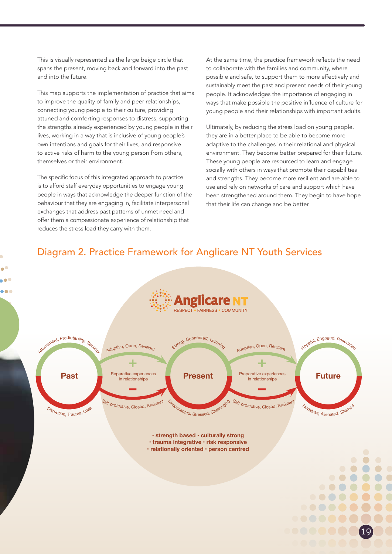This is visually represented as the large beige circle that spans the present, moving back and forward into the past and into the future.

This map supports the implementation of practice that aims to improve the quality of family and peer relationships, connecting young people to their culture, providing attuned and comforting responses to distress, supporting the strengths already experienced by young people in their lives, working in a way that is inclusive of young people's own intentions and goals for their lives, and responsive to active risks of harm to the young person from others, themselves or their environment.

The specific focus of this integrated approach to practice is to afford staff everyday opportunities to engage young people in ways that acknowledge the deeper function of the behaviour that they are engaging in, facilitate interpersonal exchanges that address past patterns of unmet need and offer them a compassionate experience of relationship that reduces the stress load they carry with them.

At the same time, the practice framework reflects the need to collaborate with the families and community, where possible and safe, to support them to more effectively and sustainably meet the past and present needs of their young people. It acknowledges the importance of engaging in ways that make possible the positive influence of culture for young people and their relationships with important adults.

Ultimately, by reducing the stress load on young people, they are in a better place to be able to become more adaptive to the challenges in their relational and physical environment. They become better prepared for their future. These young people are resourced to learn and engage socially with others in ways that promote their capabilities and strengths. They become more resilient and are able to use and rely on networks of care and support which have been strengthened around them. They begin to have hope that their life can change and be better.

## Diagram 2. Practice Framework for Anglicare NT Youth Services